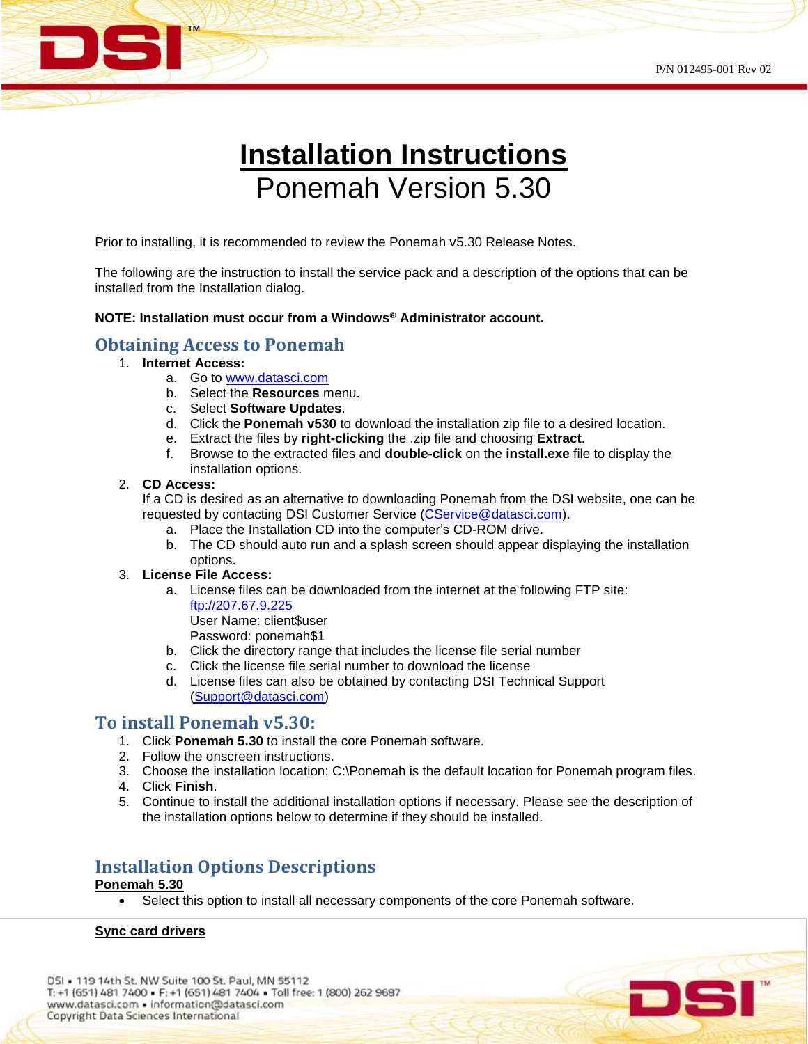

# **Installation Instructions** Ponemah Version 5.30

Prior to installing, it is recommended to review the Ponemah v5.30 Release Notes.

The following are the instruction to install the service pack and a description of the options that can be installed from the Installation dialog.

### **NOTE: Installation must occur from a Windows® Administrator account.**

### **Obtaining Access to Ponemah**

- 1. **Internet Access:**
	- a. Go to [www.datasci.com](http://www.datasci.com/)
	- b. Select the **Resources** menu.
	- c. Select **Software Updates**.
	- d. Click the **Ponemah v530** to download the installation zip file to a desired location.
	- e. Extract the files by **right-clicking** the .zip file and choosing **Extract**.
	- f. Browse to the extracted files and **double-click** on the **install.exe** file to display the installation options.

### 2. **CD Access:**

If a CD is desired as an alternative to downloading Ponemah from the DSI website, one can be requested by contacting DSI Customer Service [\(CService@datasci.com\)](mailto:CService@datasci.com).

- a. Place the Installation CD into the computer's CD-ROM drive.
- b. The CD should auto run and a splash screen should appear displaying the installation options.

#### 3. **License File Access:**

a. License files can be downloaded from the internet at the following FTP site: [ftp://207.67.9.225](ftp://207.67.9.225/)

User Name: client\$user

Password: ponemah\$1

- b. Click the directory range that includes the license file serial number
- c. Click the license file serial number to download the license
- d. License files can also be obtained by contacting DSI Technical Support [\(Support@datasci.com\)](mailto:Support@datasci.com)

## **To install Ponemah v5.30:**

- 1. Click **Ponemah 5.30** to install the core Ponemah software.
- 2. Follow the onscreen instructions.
- 3. Choose the installation location: C:\Ponemah is the default location for Ponemah program files.
- 4. Click **Finish**.
- 5. Continue to install the additional installation options if necessary. Please see the description of the installation options below to determine if they should be installed.

# **Installation Options Descriptions**

### **Ponemah 5.30**

• Select this option to install all necessary components of the core Ponemah software.

### **Sync card drivers**

DSI . 119 14th St. NW Suite 100 St. Paul, MN 55112 T: +1 (651) 481 7400 - F: +1 (651) 481 7404 - Toll free: 1 (800) 262 9687 www.datasci.com · information@datasci.com Copyright Data Sciences International